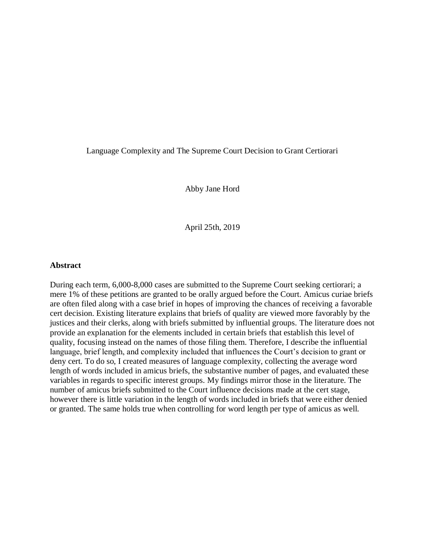## Language Complexity and The Supreme Court Decision to Grant Certiorari

Abby Jane Hord

April 25th, 2019

### **Abstract**

During each term, 6,000-8,000 cases are submitted to the Supreme Court seeking certiorari; a mere 1% of these petitions are granted to be orally argued before the Court. Amicus curiae briefs are often filed along with a case brief in hopes of improving the chances of receiving a favorable cert decision. Existing literature explains that briefs of quality are viewed more favorably by the justices and their clerks, along with briefs submitted by influential groups. The literature does not provide an explanation for the elements included in certain briefs that establish this level of quality, focusing instead on the names of those filing them. Therefore, I describe the influential language, brief length, and complexity included that influences the Court's decision to grant or deny cert. To do so, I created measures of language complexity, collecting the average word length of words included in amicus briefs, the substantive number of pages, and evaluated these variables in regards to specific interest groups. My findings mirror those in the literature. The number of amicus briefs submitted to the Court influence decisions made at the cert stage, however there is little variation in the length of words included in briefs that were either denied or granted. The same holds true when controlling for word length per type of amicus as well.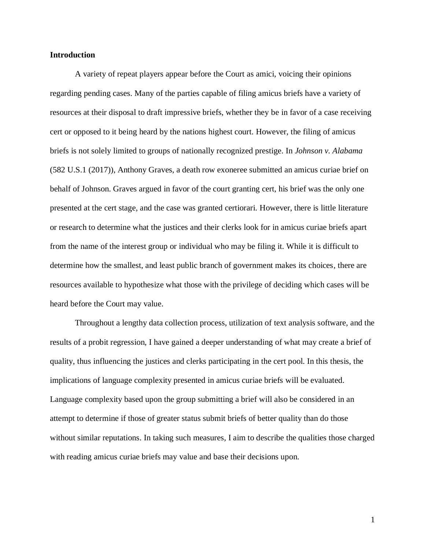### **Introduction**

A variety of repeat players appear before the Court as amici, voicing their opinions regarding pending cases. Many of the parties capable of filing amicus briefs have a variety of resources at their disposal to draft impressive briefs, whether they be in favor of a case receiving cert or opposed to it being heard by the nations highest court. However, the filing of amicus briefs is not solely limited to groups of nationally recognized prestige. In *Johnson v. Alabama* (582 U.S.1 (2017)), Anthony Graves, a death row exoneree submitted an amicus curiae brief on behalf of Johnson. Graves argued in favor of the court granting cert, his brief was the only one presented at the cert stage, and the case was granted certiorari. However, there is little literature or research to determine what the justices and their clerks look for in amicus curiae briefs apart from the name of the interest group or individual who may be filing it. While it is difficult to determine how the smallest, and least public branch of government makes its choices, there are resources available to hypothesize what those with the privilege of deciding which cases will be heard before the Court may value.

Throughout a lengthy data collection process, utilization of text analysis software, and the results of a probit regression, I have gained a deeper understanding of what may create a brief of quality, thus influencing the justices and clerks participating in the cert pool. In this thesis, the implications of language complexity presented in amicus curiae briefs will be evaluated. Language complexity based upon the group submitting a brief will also be considered in an attempt to determine if those of greater status submit briefs of better quality than do those without similar reputations. In taking such measures, I aim to describe the qualities those charged with reading amicus curiae briefs may value and base their decisions upon.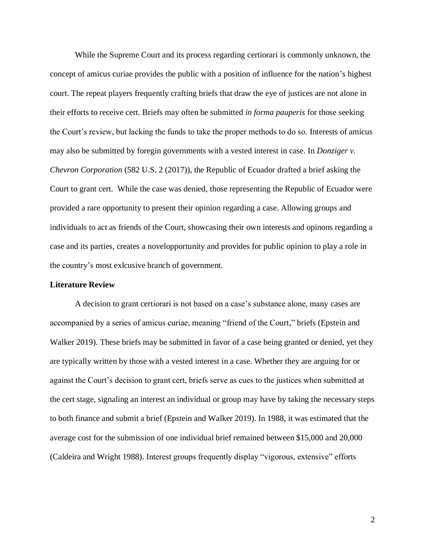While the Supreme Court and its process regarding certiorari is commonly unknown, the concept of amicus curiae provides the public with a position of influence for the nation's highest court. The repeat players frequently crafting briefs that draw the eye of justices are not alone in their efforts to receive cert. Briefs may often be submitted *in forma pauperis* for those seeking the Court's review, but lacking the funds to take the proper methods to do so. Interests of amicus may also be submitted by foregin governments with a vested interest in case. In *Donziger v. Chevron Corporation* (582 U.S. 2 (2017)), the Republic of Ecuador drafted a brief asking the Court to grant cert. While the case was denied, those representing the Republic of Ecuador were provided a rare opportunity to present their opinion regarding a case. Allowing groups and individuals to act as friends of the Court, showcasing their own interests and opinons regarding a case and its parties, creates a novelopportunity and provides for public opinion to play a role in the country's most exlcusive branch of government.

### **Literature Review**

A decision to grant certiorari is not based on a case's substance alone, many cases are accompanied by a series of amicus curiae, meaning "friend of the Court," briefs (Epstein and Walker 2019). These briefs may be submitted in favor of a case being granted or denied, yet they are typically written by those with a vested interest in a case. Whether they are arguing for or against the Court's decision to grant cert, briefs serve as cues to the justices when submitted at the cert stage, signaling an interest an individual or group may have by taking the necessary steps to both finance and submit a brief (Epstein and Walker 2019). In 1988, it was estimated that the average cost for the submission of one individual brief remained between \$15,000 and 20,000 (Caldeira and Wright 1988). Interest groups frequently display "vigorous, extensive" efforts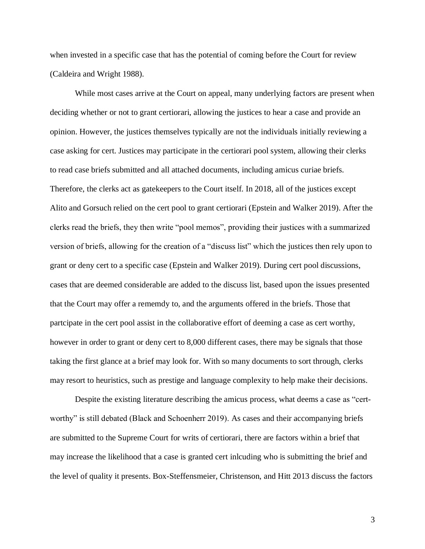when invested in a specific case that has the potential of coming before the Court for review (Caldeira and Wright 1988).

While most cases arrive at the Court on appeal, many underlying factors are present when deciding whether or not to grant certiorari, allowing the justices to hear a case and provide an opinion. However, the justices themselves typically are not the individuals initially reviewing a case asking for cert. Justices may participate in the certiorari pool system, allowing their clerks to read case briefs submitted and all attached documents, including amicus curiae briefs. Therefore, the clerks act as gatekeepers to the Court itself. In 2018, all of the justices except Alito and Gorsuch relied on the cert pool to grant certiorari (Epstein and Walker 2019). After the clerks read the briefs, they then write "pool memos", providing their justices with a summarized version of briefs, allowing for the creation of a "discuss list" which the justices then rely upon to grant or deny cert to a specific case (Epstein and Walker 2019). During cert pool discussions, cases that are deemed considerable are added to the discuss list, based upon the issues presented that the Court may offer a rememdy to, and the arguments offered in the briefs. Those that partcipate in the cert pool assist in the collaborative effort of deeming a case as cert worthy, however in order to grant or deny cert to 8,000 different cases, there may be signals that those taking the first glance at a brief may look for. With so many documents to sort through, clerks may resort to heuristics, such as prestige and language complexity to help make their decisions.

Despite the existing literature describing the amicus process, what deems a case as "certworthy" is still debated (Black and Schoenherr 2019). As cases and their accompanying briefs are submitted to the Supreme Court for writs of certiorari, there are factors within a brief that may increase the likelihood that a case is granted cert inlcuding who is submitting the brief and the level of quality it presents. Box-Steffensmeier, Christenson, and Hitt 2013 discuss the factors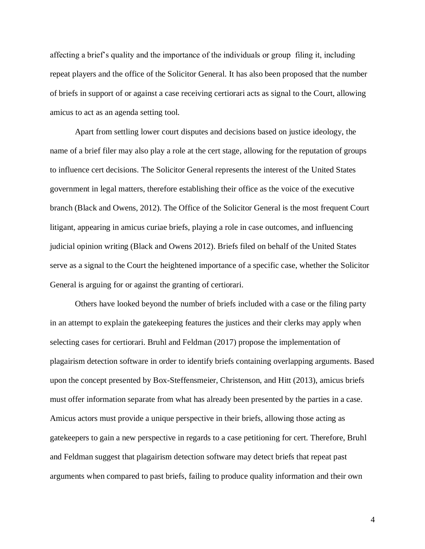affecting a brief's quality and the importance of the individuals or group filing it, including repeat players and the office of the Solicitor General. It has also been proposed that the number of briefs in support of or against a case receiving certiorari acts as signal to the Court, allowing amicus to act as an agenda setting tool.

Apart from settling lower court disputes and decisions based on justice ideology, the name of a brief filer may also play a role at the cert stage, allowing for the reputation of groups to influence cert decisions. The Solicitor General represents the interest of the United States government in legal matters, therefore establishing their office as the voice of the executive branch (Black and Owens, 2012). The Office of the Solicitor General is the most frequent Court litigant, appearing in amicus curiae briefs, playing a role in case outcomes, and influencing judicial opinion writing (Black and Owens 2012). Briefs filed on behalf of the United States serve as a signal to the Court the heightened importance of a specific case, whether the Solicitor General is arguing for or against the granting of certiorari.

Others have looked beyond the number of briefs included with a case or the filing party in an attempt to explain the gatekeeping features the justices and their clerks may apply when selecting cases for certiorari. Bruhl and Feldman (2017) propose the implementation of plagairism detection software in order to identify briefs containing overlapping arguments. Based upon the concept presented by Box-Steffensmeier, Christenson, and Hitt (2013), amicus briefs must offer information separate from what has already been presented by the parties in a case. Amicus actors must provide a unique perspective in their briefs, allowing those acting as gatekeepers to gain a new perspective in regards to a case petitioning for cert. Therefore, Bruhl and Feldman suggest that plagairism detection software may detect briefs that repeat past arguments when compared to past briefs, failing to produce quality information and their own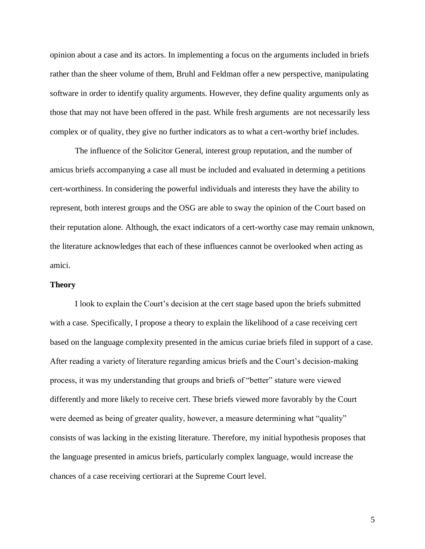opinion about a case and its actors. In implementing a focus on the arguments included in briefs rather than the sheer volume of them, Bruhl and Feldman offer a new perspective, manipulating software in order to identify quality arguments. However, they define quality arguments only as those that may not have been offered in the past. While fresh arguments are not necessarily less complex or of quality, they give no further indicators as to what a cert-worthy brief includes.

The influence of the Solicitor General, interest group reputation, and the number of amicus briefs accompanying a case all must be included and evaluated in determing a petitions cert-worthiness. In considering the powerful individuals and interests they have the ability to represent, both interest groups and the OSG are able to sway the opinion of the Court based on their reputation alone. Although, the exact indicators of a cert-worthy case may remain unknown, the literature acknowledges that each of these influences cannot be overlooked when acting as amici.

### **Theory**

I look to explain the Court's decision at the cert stage based upon the briefs submitted with a case. Specifically, I propose a theory to explain the likelihood of a case receiving cert based on the language complexity presented in the amicus curiae briefs filed in support of a case. After reading a variety of literature regarding amicus briefs and the Court's decision-making process, it was my understanding that groups and briefs of "better" stature were viewed differently and more likely to receive cert. These briefs viewed more favorably by the Court were deemed as being of greater quality, however, a measure determining what "quality" consists of was lacking in the existing literature. Therefore, my initial hypothesis proposes that the language presented in amicus briefs, particularly complex language, would increase the chances of a case receiving certiorari at the Supreme Court level.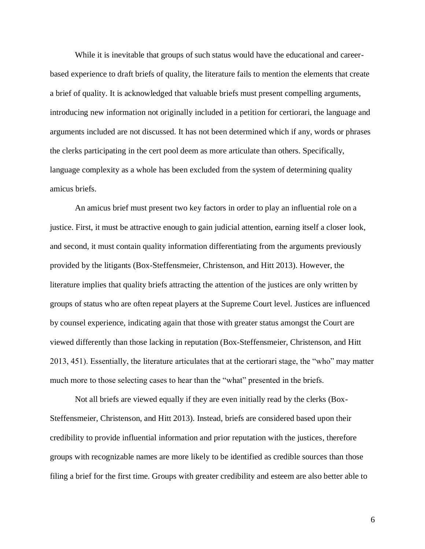While it is inevitable that groups of such status would have the educational and careerbased experience to draft briefs of quality, the literature fails to mention the elements that create a brief of quality. It is acknowledged that valuable briefs must present compelling arguments, introducing new information not originally included in a petition for certiorari, the language and arguments included are not discussed. It has not been determined which if any, words or phrases the clerks participating in the cert pool deem as more articulate than others. Specifically, language complexity as a whole has been excluded from the system of determining quality amicus briefs.

An amicus brief must present two key factors in order to play an influential role on a justice. First, it must be attractive enough to gain judicial attention, earning itself a closer look, and second, it must contain quality information differentiating from the arguments previously provided by the litigants (Box-Steffensmeier, Christenson, and Hitt 2013). However, the literature implies that quality briefs attracting the attention of the justices are only written by groups of status who are often repeat players at the Supreme Court level. Justices are influenced by counsel experience, indicating again that those with greater status amongst the Court are viewed differently than those lacking in reputation (Box-Steffensmeier, Christenson, and Hitt 2013, 451). Essentially, the literature articulates that at the certiorari stage, the "who" may matter much more to those selecting cases to hear than the "what" presented in the briefs.

Not all briefs are viewed equally if they are even initially read by the clerks (Box-Steffensmeier, Christenson, and Hitt 2013). Instead, briefs are considered based upon their credibility to provide influential information and prior reputation with the justices, therefore groups with recognizable names are more likely to be identified as credible sources than those filing a brief for the first time. Groups with greater credibility and esteem are also better able to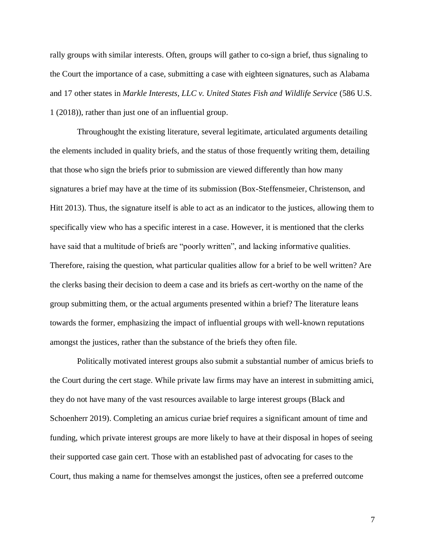rally groups with similar interests. Often, groups will gather to co-sign a brief, thus signaling to the Court the importance of a case, submitting a case with eighteen signatures, such as Alabama and 17 other states in *Markle Interests, LLC v. United States Fish and Wildlife Service* (586 U.S. 1 (2018)), rather than just one of an influential group.

Throughought the existing literature, several legitimate, articulated arguments detailing the elements included in quality briefs, and the status of those frequently writing them, detailing that those who sign the briefs prior to submission are viewed differently than how many signatures a brief may have at the time of its submission (Box-Steffensmeier, Christenson, and Hitt 2013). Thus, the signature itself is able to act as an indicator to the justices, allowing them to specifically view who has a specific interest in a case. However, it is mentioned that the clerks have said that a multitude of briefs are "poorly written", and lacking informative qualities. Therefore, raising the question, what particular qualities allow for a brief to be well written? Are the clerks basing their decision to deem a case and its briefs as cert-worthy on the name of the group submitting them, or the actual arguments presented within a brief? The literature leans towards the former, emphasizing the impact of influential groups with well-known reputations amongst the justices, rather than the substance of the briefs they often file.

Politically motivated interest groups also submit a substantial number of amicus briefs to the Court during the cert stage. While private law firms may have an interest in submitting amici, they do not have many of the vast resources available to large interest groups (Black and Schoenherr 2019). Completing an amicus curiae brief requires a significant amount of time and funding, which private interest groups are more likely to have at their disposal in hopes of seeing their supported case gain cert. Those with an established past of advocating for cases to the Court, thus making a name for themselves amongst the justices, often see a preferred outcome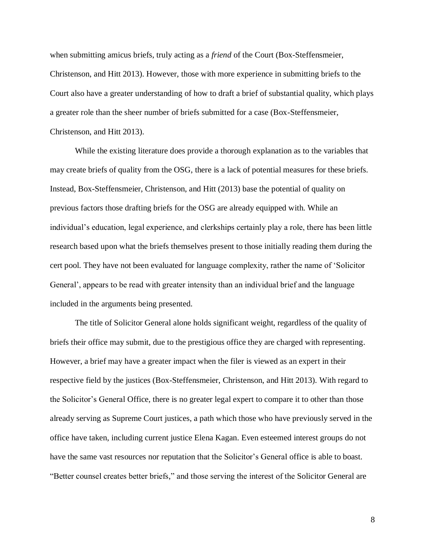when submitting amicus briefs, truly acting as a *friend* of the Court (Box-Steffensmeier, Christenson, and Hitt 2013). However, those with more experience in submitting briefs to the Court also have a greater understanding of how to draft a brief of substantial quality, which plays a greater role than the sheer number of briefs submitted for a case (Box-Steffensmeier, Christenson, and Hitt 2013).

While the existing literature does provide a thorough explanation as to the variables that may create briefs of quality from the OSG, there is a lack of potential measures for these briefs. Instead, Box-Steffensmeier, Christenson, and Hitt (2013) base the potential of quality on previous factors those drafting briefs for the OSG are already equipped with. While an individual's education, legal experience, and clerkships certainly play a role, there has been little research based upon what the briefs themselves present to those initially reading them during the cert pool. They have not been evaluated for language complexity, rather the name of 'Solicitor General', appears to be read with greater intensity than an individual brief and the language included in the arguments being presented.

The title of Solicitor General alone holds significant weight, regardless of the quality of briefs their office may submit, due to the prestigious office they are charged with representing. However, a brief may have a greater impact when the filer is viewed as an expert in their respective field by the justices (Box-Steffensmeier, Christenson, and Hitt 2013). With regard to the Solicitor's General Office, there is no greater legal expert to compare it to other than those already serving as Supreme Court justices, a path which those who have previously served in the office have taken, including current justice Elena Kagan. Even esteemed interest groups do not have the same vast resources nor reputation that the Solicitor's General office is able to boast. "Better counsel creates better briefs," and those serving the interest of the Solicitor General are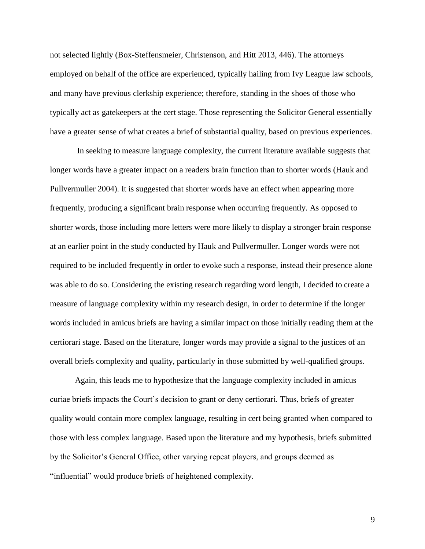not selected lightly (Box-Steffensmeier, Christenson, and Hitt 2013, 446). The attorneys employed on behalf of the office are experienced, typically hailing from Ivy League law schools, and many have previous clerkship experience; therefore, standing in the shoes of those who typically act as gatekeepers at the cert stage. Those representing the Solicitor General essentially have a greater sense of what creates a brief of substantial quality, based on previous experiences.

In seeking to measure language complexity, the current literature available suggests that longer words have a greater impact on a readers brain function than to shorter words (Hauk and Pullvermuller 2004). It is suggested that shorter words have an effect when appearing more frequently, producing a significant brain response when occurring frequently. As opposed to shorter words, those including more letters were more likely to display a stronger brain response at an earlier point in the study conducted by Hauk and Pullvermuller. Longer words were not required to be included frequently in order to evoke such a response, instead their presence alone was able to do so. Considering the existing research regarding word length, I decided to create a measure of language complexity within my research design, in order to determine if the longer words included in amicus briefs are having a similar impact on those initially reading them at the certiorari stage. Based on the literature, longer words may provide a signal to the justices of an overall briefs complexity and quality, particularly in those submitted by well-qualified groups.

Again, this leads me to hypothesize that the language complexity included in amicus curiae briefs impacts the Court's decision to grant or deny certiorari. Thus, briefs of greater quality would contain more complex language, resulting in cert being granted when compared to those with less complex language. Based upon the literature and my hypothesis, briefs submitted by the Solicitor's General Office, other varying repeat players, and groups deemed as "influential" would produce briefs of heightened complexity.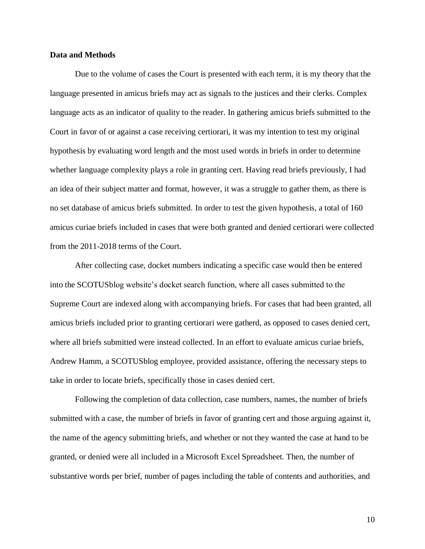### **Data and Methods**

Due to the volume of cases the Court is presented with each term, it is my theory that the language presented in amicus briefs may act as signals to the justices and their clerks. Complex language acts as an indicator of quality to the reader. In gathering amicus briefs submitted to the Court in favor of or against a case receiving certiorari, it was my intention to test my original hypothesis by evaluating word length and the most used words in briefs in order to determine whether language complexity plays a role in granting cert. Having read briefs previously, I had an idea of their subject matter and format, however, it was a struggle to gather them, as there is no set database of amicus briefs submitted. In order to test the given hypothesis, a total of 160 amicus curiae briefs included in cases that were both granted and denied certiorari were collected from the 2011-2018 terms of the Court.

After collecting case, docket numbers indicating a specific case would then be entered into the SCOTUSblog website's docket search function, where all cases submitted to the Supreme Court are indexed along with accompanying briefs. For cases that had been granted, all amicus briefs included prior to granting certiorari were gatherd, as opposed to cases denied cert, where all briefs submitted were instead collected. In an effort to evaluate amicus curiae briefs, Andrew Hamm, a SCOTUSblog employee, provided assistance, offering the necessary steps to take in order to locate briefs, specifically those in cases denied cert.

Following the completion of data collection, case numbers, names, the number of briefs submitted with a case, the number of briefs in favor of granting cert and those arguing against it, the name of the agency submitting briefs, and whether or not they wanted the case at hand to be granted, or denied were all included in a Microsoft Excel Spreadsheet. Then, the number of substantive words per brief, number of pages including the table of contents and authorities, and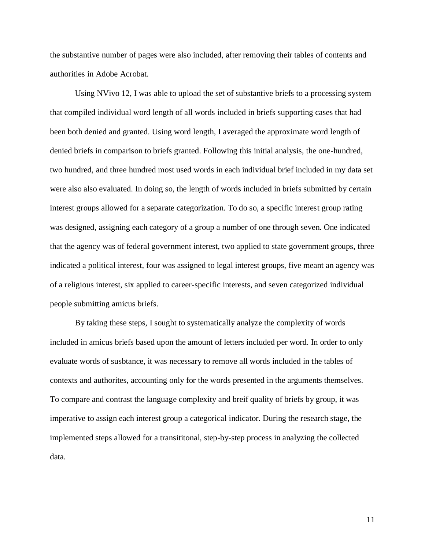the substantive number of pages were also included, after removing their tables of contents and authorities in Adobe Acrobat.

Using NVivo 12, I was able to upload the set of substantive briefs to a processing system that compiled individual word length of all words included in briefs supporting cases that had been both denied and granted. Using word length, I averaged the approximate word length of denied briefs in comparison to briefs granted. Following this initial analysis, the one-hundred, two hundred, and three hundred most used words in each individual brief included in my data set were also also evaluated. In doing so, the length of words included in briefs submitted by certain interest groups allowed for a separate categorization. To do so, a specific interest group rating was designed, assigning each category of a group a number of one through seven. One indicated that the agency was of federal government interest, two applied to state government groups, three indicated a political interest, four was assigned to legal interest groups, five meant an agency was of a religious interest, six applied to career-specific interests, and seven categorized individual people submitting amicus briefs.

By taking these steps, I sought to systematically analyze the complexity of words included in amicus briefs based upon the amount of letters included per word. In order to only evaluate words of susbtance, it was necessary to remove all words included in the tables of contexts and authorites, accounting only for the words presented in the arguments themselves. To compare and contrast the language complexity and breif quality of briefs by group, it was imperative to assign each interest group a categorical indicator. During the research stage, the implemented steps allowed for a transititonal, step-by-step process in analyzing the collected data.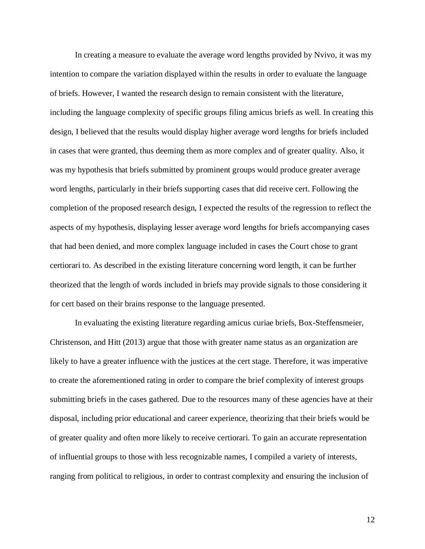In creating a measure to evaluate the average word lengths provided by Nvivo, it was my intention to compare the variation displayed within the results in order to evaluate the language of briefs. However, I wanted the research design to remain consistent with the literature, including the language complexity of specific groups filing amicus briefs as well. In creating this design, I believed that the results would display higher average word lengths for briefs included in cases that were granted, thus deeming them as more complex and of greater quality. Also, it was my hypothesis that briefs submitted by prominent groups would produce greater average word lengths, particularly in their briefs supporting cases that did receive cert. Following the completion of the proposed research design, I expected the results of the regression to reflect the aspects of my hypothesis, displaying lesser average word lengths for briefs accompanying cases that had been denied, and more complex language included in cases the Court chose to grant certiorari to. As described in the existing literature concerning word length, it can be further theorized that the length of words included in briefs may provide signals to those considering it for cert based on their brains response to the language presented.

In evaluating the existing literature regarding amicus curiae briefs, Box-Steffensmeier, Christenson, and Hitt (2013) argue that those with greater name status as an organization are likely to have a greater influence with the justices at the cert stage. Therefore, it was imperative to create the aforementioned rating in order to compare the brief complexity of interest groups submitting briefs in the cases gathered. Due to the resources many of these agencies have at their disposal, including prior educational and career experience, theorizing that their briefs would be of greater quality and often more likely to receive certiorari. To gain an accurate representation of influential groups to those with less recognizable names, I compiled a variety of interests, ranging from political to religious, in order to contrast complexity and ensuring the inclusion of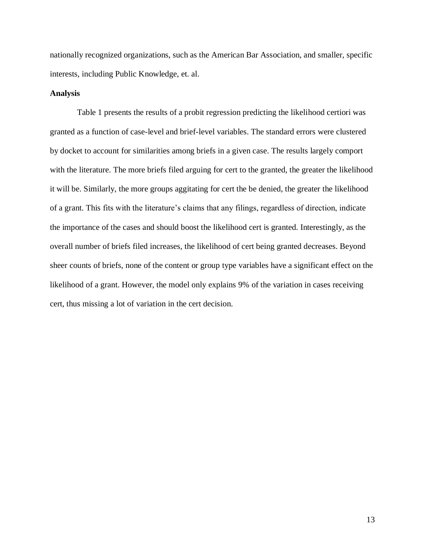nationally recognized organizations, such as the American Bar Association, and smaller, specific interests, including Public Knowledge, et. al.

### **Analysis**

Table 1 presents the results of a probit regression predicting the likelihood certiori was granted as a function of case-level and brief-level variables. The standard errors were clustered by docket to account for similarities among briefs in a given case. The results largely comport with the literature. The more briefs filed arguing for cert to the granted, the greater the likelihood it will be. Similarly, the more groups aggitating for cert the be denied, the greater the likelihood of a grant. This fits with the literature's claims that any filings, regardless of direction, indicate the importance of the cases and should boost the likelihood cert is granted. Interestingly, as the overall number of briefs filed increases, the likelihood of cert being granted decreases. Beyond sheer counts of briefs, none of the content or group type variables have a significant effect on the likelihood of a grant. However, the model only explains 9% of the variation in cases receiving cert, thus missing a lot of variation in the cert decision.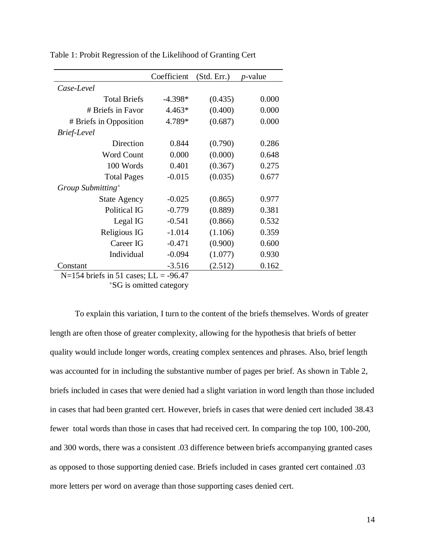| Coefficient | (Std. Err.) | <i>p</i> -value                         |
|-------------|-------------|-----------------------------------------|
|             |             |                                         |
| $-4.398*$   | (0.435)     | 0.000                                   |
| $4.463*$    | (0.400)     | 0.000                                   |
| 4.789*      | (0.687)     | 0.000                                   |
|             |             |                                         |
| 0.844       | (0.790)     | 0.286                                   |
| 0.000       | (0.000)     | 0.648                                   |
| 0.401       | (0.367)     | 0.275                                   |
| $-0.015$    | (0.035)     | 0.677                                   |
|             |             |                                         |
| $-0.025$    | (0.865)     | 0.977                                   |
| $-0.779$    | (0.889)     | 0.381                                   |
| $-0.541$    | (0.866)     | 0.532                                   |
| $-1.014$    | (1.106)     | 0.359                                   |
| $-0.471$    | (0.900)     | 0.600                                   |
| $-0.094$    | (1.077)     | 0.930                                   |
| $-3.516$    | (2.512)     | 0.162                                   |
|             |             | $N=154$ briefs in 51 equas. I I = 06.47 |

Table 1: Probit Regression of the Likelihood of Granting Cert

 $N=154$  briefs in 51 cases; LL = -96.47

<sup>+</sup>SG is omitted category

To explain this variation, I turn to the content of the briefs themselves. Words of greater length are often those of greater complexity, allowing for the hypothesis that briefs of better quality would include longer words, creating complex sentences and phrases. Also, brief length was accounted for in including the substantive number of pages per brief. As shown in Table 2, briefs included in cases that were denied had a slight variation in word length than those included in cases that had been granted cert. However, briefs in cases that were denied cert included 38.43 fewer total words than those in cases that had received cert. In comparing the top 100, 100-200, and 300 words, there was a consistent .03 difference between briefs accompanying granted cases as opposed to those supporting denied case. Briefs included in cases granted cert contained .03 more letters per word on average than those supporting cases denied cert.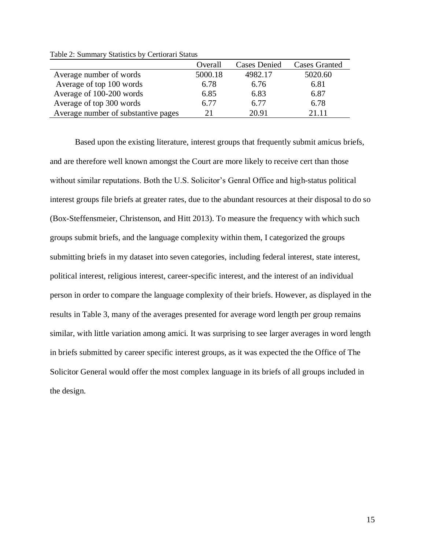|                                     | Overall | <b>Cases Denied</b> | <b>Cases Granted</b> |
|-------------------------------------|---------|---------------------|----------------------|
| Average number of words             | 5000.18 | 4982.17             | 5020.60              |
| Average of top 100 words            | 6.78    | 6.76                | 6.81                 |
| Average of 100-200 words            | 6.85    | 6.83                | 6.87                 |
| Average of top 300 words            | 6.77    | 6.77                | 6.78                 |
| Average number of substantive pages | 21      | 20.91               | 21 11                |

Table 2: Summary Statistics by Certiorari Status

Based upon the existing literature, interest groups that frequently submit amicus briefs, and are therefore well known amongst the Court are more likely to receive cert than those without similar reputations. Both the U.S. Solicitor's Genral Office and high-status political interest groups file briefs at greater rates, due to the abundant resources at their disposal to do so (Box-Steffensmeier, Christenson, and Hitt 2013). To measure the frequency with which such groups submit briefs, and the language complexity within them, I categorized the groups submitting briefs in my dataset into seven categories, including federal interest, state interest, political interest, religious interest, career-specific interest, and the interest of an individual person in order to compare the language complexity of their briefs. However, as displayed in the results in Table 3, many of the averages presented for average word length per group remains similar, with little variation among amici. It was surprising to see larger averages in word length in briefs submitted by career specific interest groups, as it was expected the the Office of The Solicitor General would offer the most complex language in its briefs of all groups included in the design.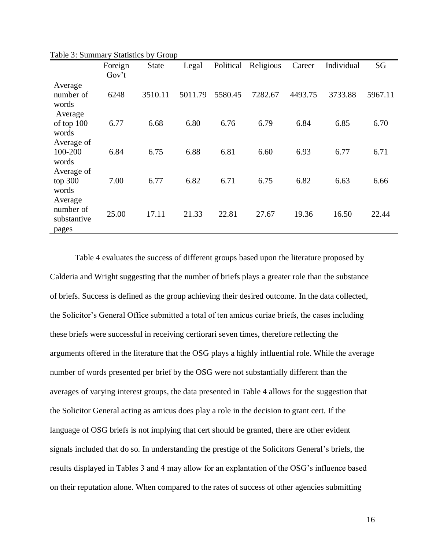|                                              | Foreign<br>Gov't | <b>State</b> | Legal   | Political | Religious | Career  | Individual | SG      |
|----------------------------------------------|------------------|--------------|---------|-----------|-----------|---------|------------|---------|
| Average<br>number of<br>words                | 6248             | 3510.11      | 5011.79 | 5580.45   | 7282.67   | 4493.75 | 3733.88    | 5967.11 |
| Average<br>of top 100<br>words               | 6.77             | 6.68         | 6.80    | 6.76      | 6.79      | 6.84    | 6.85       | 6.70    |
| Average of<br>100-200<br>words               | 6.84             | 6.75         | 6.88    | 6.81      | 6.60      | 6.93    | 6.77       | 6.71    |
| Average of<br>top 300<br>words               | 7.00             | 6.77         | 6.82    | 6.71      | 6.75      | 6.82    | 6.63       | 6.66    |
| Average<br>number of<br>substantive<br>pages | 25.00            | 17.11        | 21.33   | 22.81     | 27.67     | 19.36   | 16.50      | 22.44   |

Table 3: Summary Statistics by Group

Table 4 evaluates the success of different groups based upon the literature proposed by Calderia and Wright suggesting that the number of briefs plays a greater role than the substance of briefs. Success is defined as the group achieving their desired outcome. In the data collected, the Solicitor's General Office submitted a total of ten amicus curiae briefs, the cases including these briefs were successful in receiving certiorari seven times, therefore reflecting the arguments offered in the literature that the OSG plays a highly influential role. While the average number of words presented per brief by the OSG were not substantially different than the averages of varying interest groups, the data presented in Table 4 allows for the suggestion that the Solicitor General acting as amicus does play a role in the decision to grant cert. If the language of OSG briefs is not implying that cert should be granted, there are other evident signals included that do so. In understanding the prestige of the Solicitors General's briefs, the results displayed in Tables 3 and 4 may allow for an explantation of the OSG's influence based on their reputation alone. When compared to the rates of success of other agencies submitting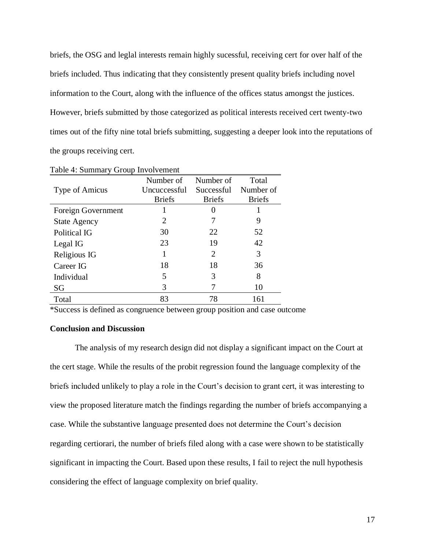briefs, the OSG and leglal interests remain highly sucessful, receiving cert for over half of the briefs included. Thus indicating that they consistently present quality briefs including novel information to the Court, along with the influence of the offices status amongst the justices. However, briefs submitted by those categorized as political interests received cert twenty-two times out of the fifty nine total briefs submitting, suggesting a deeper look into the reputations of the groups receiving cert.

|                     | Number of     | Number of     | Total         |
|---------------------|---------------|---------------|---------------|
| Type of Amicus      | Uncuccessful  | Successful    | Number of     |
|                     | <b>Briefs</b> | <b>Briefs</b> | <b>Briefs</b> |
| Foreign Government  |               |               |               |
| <b>State Agency</b> | 2             | 7             | 9             |
| Political IG        | 30            | 22            | 52            |
| Legal IG            | 23            | 19            | 42            |
| Religious IG        |               | 2             | 3             |
| Career IG           | 18            | 18            | 36            |
| Individual          | 5             | 3             | 8             |
| SG                  | 3             |               | 10            |
| Total               | 83            | 78            | 161           |

Table 4: Summary Group Involvement

\*Success is defined as congruence between group position and case outcome

# **Conclusion and Discussion**

The analysis of my research design did not display a significant impact on the Court at the cert stage. While the results of the probit regression found the language complexity of the briefs included unlikely to play a role in the Court's decision to grant cert, it was interesting to view the proposed literature match the findings regarding the number of briefs accompanying a case. While the substantive language presented does not determine the Court's decision regarding certiorari, the number of briefs filed along with a case were shown to be statistically significant in impacting the Court. Based upon these results, I fail to reject the null hypothesis considering the effect of language complexity on brief quality.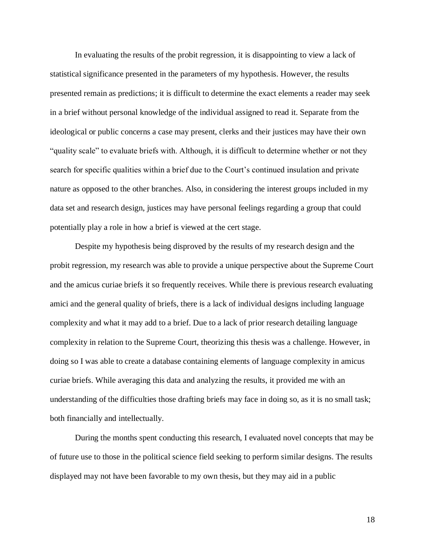In evaluating the results of the probit regression, it is disappointing to view a lack of statistical significance presented in the parameters of my hypothesis. However, the results presented remain as predictions; it is difficult to determine the exact elements a reader may seek in a brief without personal knowledge of the individual assigned to read it. Separate from the ideological or public concerns a case may present, clerks and their justices may have their own "quality scale" to evaluate briefs with. Although, it is difficult to determine whether or not they search for specific qualities within a brief due to the Court's continued insulation and private nature as opposed to the other branches. Also, in considering the interest groups included in my data set and research design, justices may have personal feelings regarding a group that could potentially play a role in how a brief is viewed at the cert stage.

Despite my hypothesis being disproved by the results of my research design and the probit regression, my research was able to provide a unique perspective about the Supreme Court and the amicus curiae briefs it so frequently receives. While there is previous research evaluating amici and the general quality of briefs, there is a lack of individual designs including language complexity and what it may add to a brief. Due to a lack of prior research detailing language complexity in relation to the Supreme Court, theorizing this thesis was a challenge. However, in doing so I was able to create a database containing elements of language complexity in amicus curiae briefs. While averaging this data and analyzing the results, it provided me with an understanding of the difficulties those drafting briefs may face in doing so, as it is no small task; both financially and intellectually.

During the months spent conducting this research, I evaluated novel concepts that may be of future use to those in the political science field seeking to perform similar designs. The results displayed may not have been favorable to my own thesis, but they may aid in a public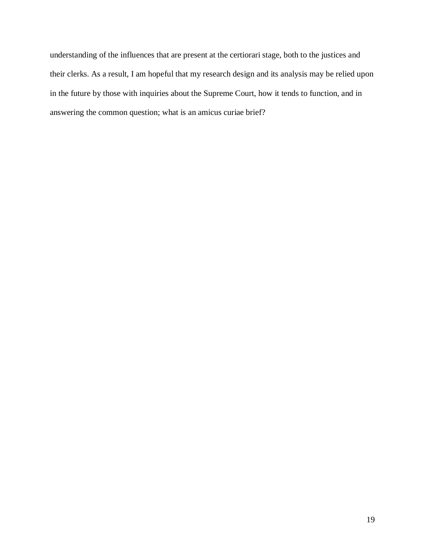understanding of the influences that are present at the certiorari stage, both to the justices and their clerks. As a result, I am hopeful that my research design and its analysis may be relied upon in the future by those with inquiries about the Supreme Court, how it tends to function, and in answering the common question; what is an amicus curiae brief?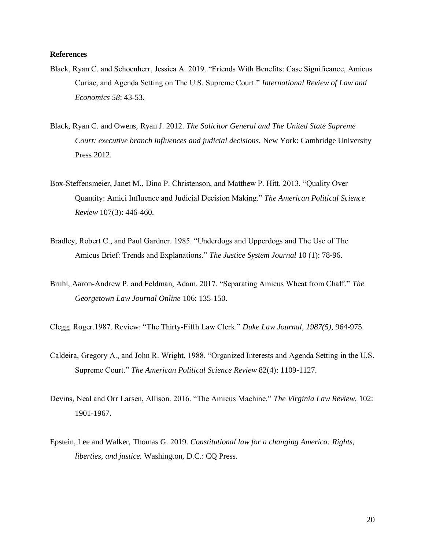### **References**

- Black, Ryan C. and Schoenherr, Jessica A. 2019. "Friends With Benefits: Case Significance, Amicus Curiae, and Agenda Setting on The U.S. Supreme Court." *International Review of Law and Economics 58*: 43-53.
- Black, Ryan C. and Owens, Ryan J. 2012. *The Solicitor General and The United State Supreme Court: executive branch influences and judicial decisions.* New York: Cambridge University Press 2012.
- Box-Steffensmeier, Janet M., Dino P. Christenson, and Matthew P. Hitt. 2013. "Quality Over Quantity: Amici Influence and Judicial Decision Making." *The American Political Science Review* 107(3): 446-460.
- Bradley, Robert C., and Paul Gardner. 1985. "Underdogs and Upperdogs and The Use of The Amicus Brief: Trends and Explanations." *The Justice System Journal* 10 (1): 78-96.
- Bruhl, Aaron-Andrew P. and Feldman, Adam. 2017. "Separating Amicus Wheat from Chaff." *The Georgetown Law Journal Online* 106: 135-150.
- Clegg, Roger.1987. Review: "The Thirty-Fifth Law Clerk." *Duke Law Journal, 1987(5),* 964-975.
- Caldeira, Gregory A., and John R. Wright. 1988. "Organized Interests and Agenda Setting in the U.S. Supreme Court." *The American Political Science Review* 82(4): 1109-1127.
- Devins, Neal and Orr Larsen, Allison. 2016. "The Amicus Machine." *The Virginia Law Review,* 102: 1901-1967.
- Epstein, Lee and Walker, Thomas G. 2019. *Constitutional law for a changing America: Rights, liberties, and justice.* Washington, D.C.: CQ Press.